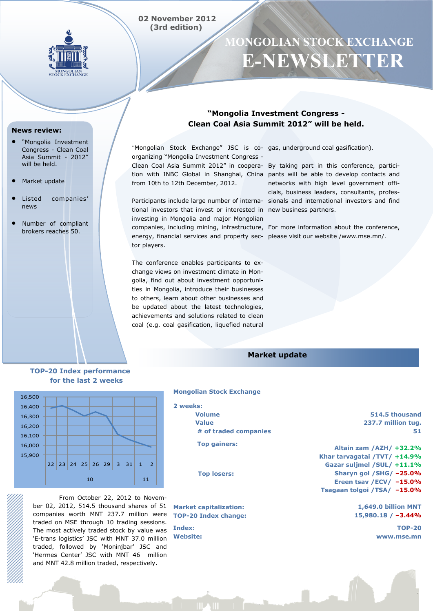## **02 November 2012 (3rd edition)**



# **MONGOLIAN STOCK EXCHANGE E-NEWSLETTER**

#### **News review:**

- "Mongolia Investment Congress - Clean Coal Asia Summit - 2012" will be held.
- Market update
- Listed companies' news
- Number of compliant brokers reaches 50.

## **"Mongolia Investment Congress - Clean Coal Asia Summit 2012" will be held.**

"Mongolian Stock Exchange" JSC is co-gas, underground coal gasification). organizing "Mongolia Investment Congress from 10th to 12th December, 2012.

tional investors that invest or interested in new business partners. investing in Mongolia and major Mongolian companies, including mining, infrastructure, For more information about the conference, energy, financial services and property sec-please visit our website /www.mse.mn/. tor players.

The conference enables participants to exchange views on investment climate in Mongolia, find out about investment opportunities in Mongolia, introduce their businesses to others, learn about other businesses and be updated about the latest technologies, achievements and solutions related to clean coal (e.g. coal gasification, liquefied natural

Clean Coal Asia Summit 2012" in coopera-By taking part in this conference, particition with INBC Global in Shanghai, China pants will be able to develop contacts and Participants include large number of interna-sionals and international investors and find networks with high level government officials, business leaders, consultants, profes-

## **Market update**

### **TOP-20 Index performance for the last 2 weeks**



From October 22, 2012 to November 02, 2012, 514.5 thousand shares of 51 companies worth MNT 237.7 million were traded on MSE through 10 trading sessions. The most actively traded stock by value was 'E-trans logistics' JSC with MNT 37.0 million traded, followed by 'Moninjbar' JSC and 'Hermes Center' JSC with MNT 46 million and MNT 42.8 million traded, respectively.

#### **Mongolian Stock Exchange**

- **2 weeks: Volume Value # of traded companies**
	- **Top gainers:**

 **Top losers:**

**Market capitalization: TOP-20 Index change:**

**Index: Website:**

**514.5 thousand 237.7 million tug. 51**

**Altain zam /AZH/ +32.2% Khar tarvagatai /TVT/ +14.9% Gazar suljmel /SUL/ +11.1% Sharyn gol /SHG/ –25.0% Ereen tsav /ECV/ –15.0% Tsagaan tolgoi /TSA/ –15.0%**

> **1,649.0 billion MNT 15,980.18 / –3.44%**

> > **TOP-20 www.mse.mn**